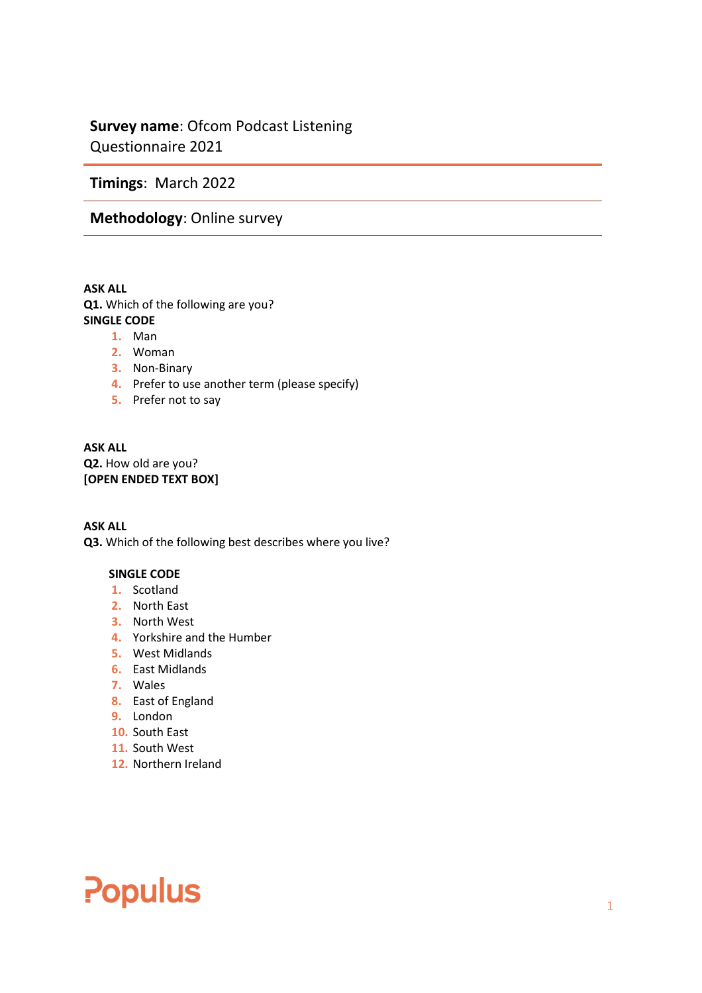## **Survey name**: Ofcom Podcast Listening Questionnaire 2021

**Timings**: March 2022

## **Methodology**: Online survey

**ASK ALL Q1.** Which of the following are you? **SINGLE CODE** 

- **1.** Man
- **2.** Woman
- **3.** Non-Binary
- **4.** Prefer to use another term (please specify)
- **5.** Prefer not to say

## **ASK ALL Q2.** How old are you? **[OPEN ENDED TEXT BOX]**

**ASK ALL Q3.** Which of the following best describes where you live?

## **SINGLE CODE**

- **1.** Scotland
- **2.** North East
- **3.** North West
- **4.** Yorkshire and the Humber
- **5.** West Midlands
- **6.** East Midlands
- **7.** Wales
- **8.** East of England
- **9.** London
- **10.** South East
- **11.** South West
- **12.** Northern Ireland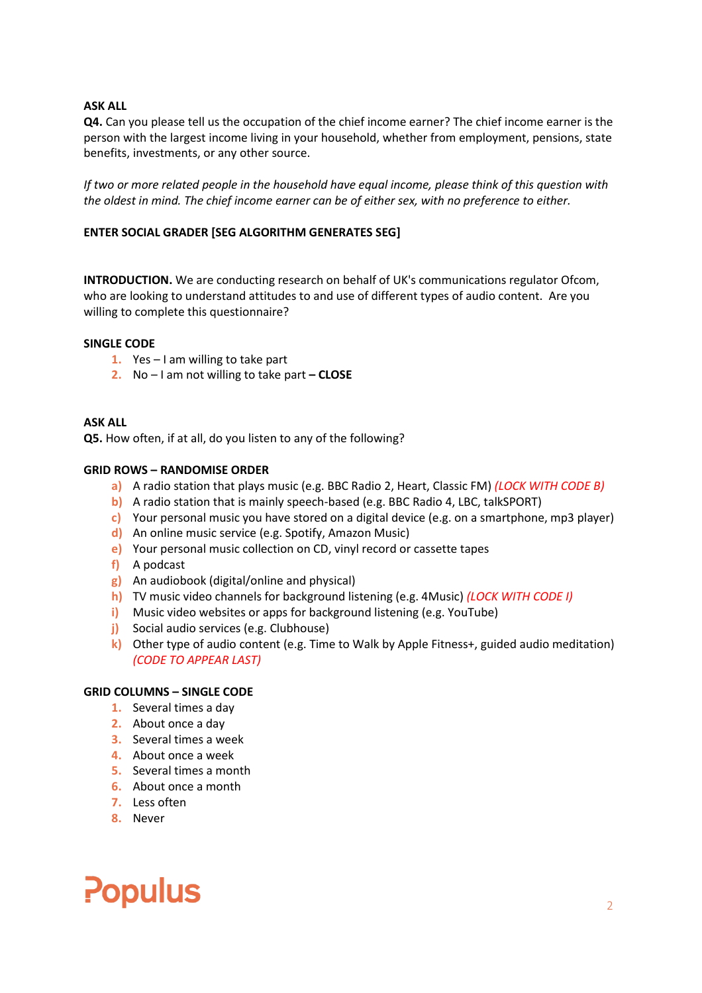**Q4.** Can you please tell us the occupation of the chief income earner? The chief income earner is the person with the largest income living in your household, whether from employment, pensions, state benefits, investments, or any other source.

*If two or more related people in the household have equal income, please think of this question with the oldest in mind. The chief income earner can be of either sex, with no preference to either.*

## **ENTER SOCIAL GRADER [SEG ALGORITHM GENERATES SEG]**

**INTRODUCTION.** We are conducting research on behalf of UK's communications regulator Ofcom, who are looking to understand attitudes to and use of different types of audio content. Are you willing to complete this questionnaire?

## **SINGLE CODE**

- **1.** Yes I am willing to take part
- **2.** No I am not willing to take part **– CLOSE**

### **ASK ALL**

**Q5.** How often, if at all, do you listen to any of the following?

### **GRID ROWS – RANDOMISE ORDER**

- **a)** A radio station that plays music (e.g. BBC Radio 2, Heart, Classic FM) *(LOCK WITH CODE B)*
- **b)** A radio station that is mainly speech-based (e.g. BBC Radio 4, LBC, talkSPORT)
- **c)** Your personal music you have stored on a digital device (e.g. on a smartphone, mp3 player)
- **d)** An online music service (e.g. Spotify, Amazon Music)
- **e)** Your personal music collection on CD, vinyl record or cassette tapes
- **f)** A podcast
- **g)** An audiobook (digital/online and physical)
- **h)** TV music video channels for background listening (e.g. 4Music) *(LOCK WITH CODE I)*
- **i)** Music video websites or apps for background listening (e.g. YouTube)
- **j)** Social audio services (e.g. Clubhouse)
- **k)** Other type of audio content (e.g. Time to Walk by Apple Fitness+, guided audio meditation) *(CODE TO APPEAR LAST)*

#### **GRID COLUMNS – SINGLE CODE**

- **1.** Several times a day
- **2.** About once a day
- **3.** Several times a week
- **4.** About once a week
- **5.** Several times a month
- **6.** About once a month
- **7.** Less often
- **8.** Never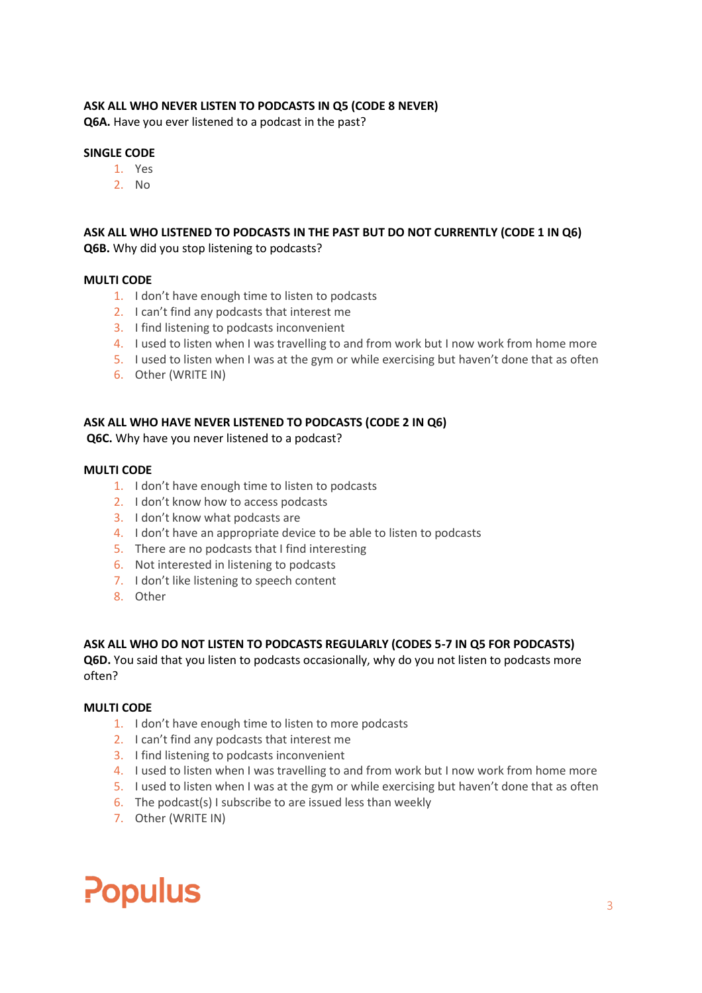## **ASK ALL WHO NEVER LISTEN TO PODCASTS IN Q5 (CODE 8 NEVER)**

**Q6A.** Have you ever listened to a podcast in the past?

### **SINGLE CODE**

- 1. Yes
- 2. No

## **ASK ALL WHO LISTENED TO PODCASTS IN THE PAST BUT DO NOT CURRENTLY (CODE 1 IN Q6) Q6B.** Why did you stop listening to podcasts?

### **MULTI CODE**

- 1. I don't have enough time to listen to podcasts
- 2. I can't find any podcasts that interest me
- 3. I find listening to podcasts inconvenient
- 4. I used to listen when I was travelling to and from work but I now work from home more
- 5. I used to listen when I was at the gym or while exercising but haven't done that as often
- 6. Other (WRITE IN)

### **ASK ALL WHO HAVE NEVER LISTENED TO PODCASTS (CODE 2 IN Q6)**

**Q6C.** Why have you never listened to a podcast?

#### **MULTI CODE**

- 1. I don't have enough time to listen to podcasts
- 2. I don't know how to access podcasts
- 3. I don't know what podcasts are
- 4. I don't have an appropriate device to be able to listen to podcasts
- 5. There are no podcasts that I find interesting
- 6. Not interested in listening to podcasts
- 7. I don't like listening to speech content
- 8. Other

## **ASK ALL WHO DO NOT LISTEN TO PODCASTS REGULARLY (CODES 5-7 IN Q5 FOR PODCASTS)**

**Q6D.** You said that you listen to podcasts occasionally, why do you not listen to podcasts more often?

#### **MULTI CODE**

- 1. I don't have enough time to listen to more podcasts
- 2. I can't find any podcasts that interest me
- 3. I find listening to podcasts inconvenient
- 4. I used to listen when I was travelling to and from work but I now work from home more
- 5. I used to listen when I was at the gym or while exercising but haven't done that as often
- 6. The podcast(s) I subscribe to are issued less than weekly
- 7. Other (WRITE IN)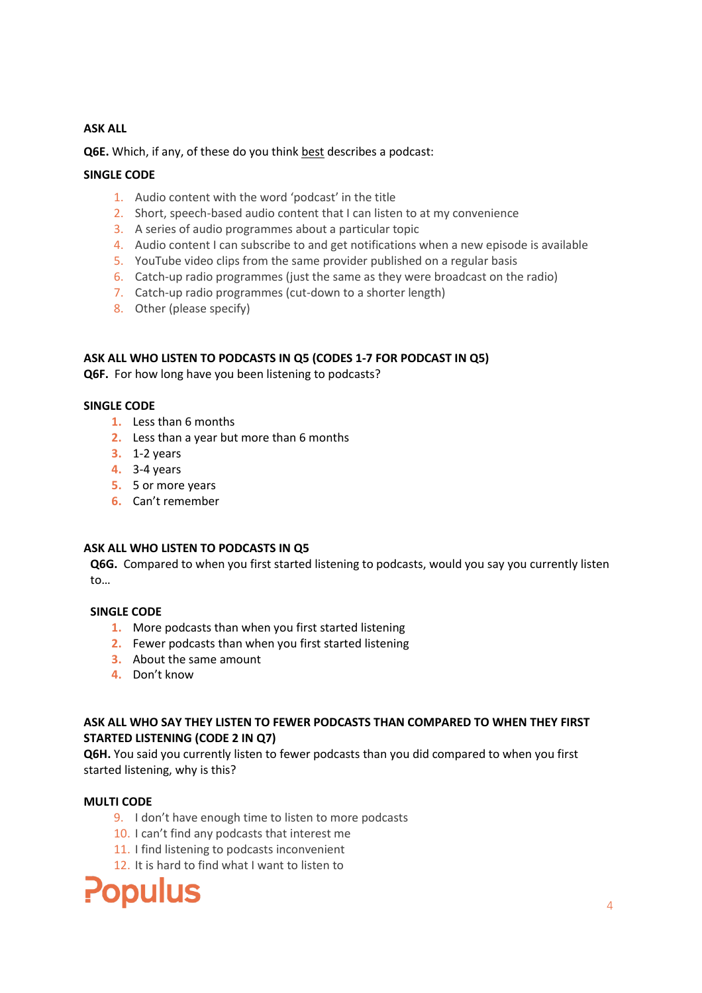**Q6E.** Which, if any, of these do you think best describes a podcast:

## **SINGLE CODE**

- 1. Audio content with the word 'podcast' in the title
- 2. Short, speech-based audio content that I can listen to at my convenience
- 3. A series of audio programmes about a particular topic
- 4. Audio content I can subscribe to and get notifications when a new episode is available
- 5. YouTube video clips from the same provider published on a regular basis
- 6. Catch-up radio programmes (just the same as they were broadcast on the radio)
- 7. Catch-up radio programmes (cut-down to a shorter length)
- 8. Other (please specify)

## **ASK ALL WHO LISTEN TO PODCASTS IN Q5 (CODES 1-7 FOR PODCAST IN Q5)**

**Q6F.** For how long have you been listening to podcasts?

## **SINGLE CODE**

- **1.** Less than 6 months
- **2.** Less than a year but more than 6 months
- **3.** 1-2 years
- **4.** 3-4 years
- **5.** 5 or more years
- **6.** Can't remember

## **ASK ALL WHO LISTEN TO PODCASTS IN Q5**

**Q6G.** Compared to when you first started listening to podcasts, would you say you currently listen to…

## **SINGLE CODE**

- **1.** More podcasts than when you first started listening
- **2.** Fewer podcasts than when you first started listening
- **3.** About the same amount
- **4.** Don't know

## **ASK ALL WHO SAY THEY LISTEN TO FEWER PODCASTS THAN COMPARED TO WHEN THEY FIRST STARTED LISTENING (CODE 2 IN Q7)**

**Q6H.** You said you currently listen to fewer podcasts than you did compared to when you first started listening, why is this?

## **MULTI CODE**

- 9. I don't have enough time to listen to more podcasts
- 10. I can't find any podcasts that interest me
- 11. I find listening to podcasts inconvenient
- 12. It is hard to find what I want to listen to

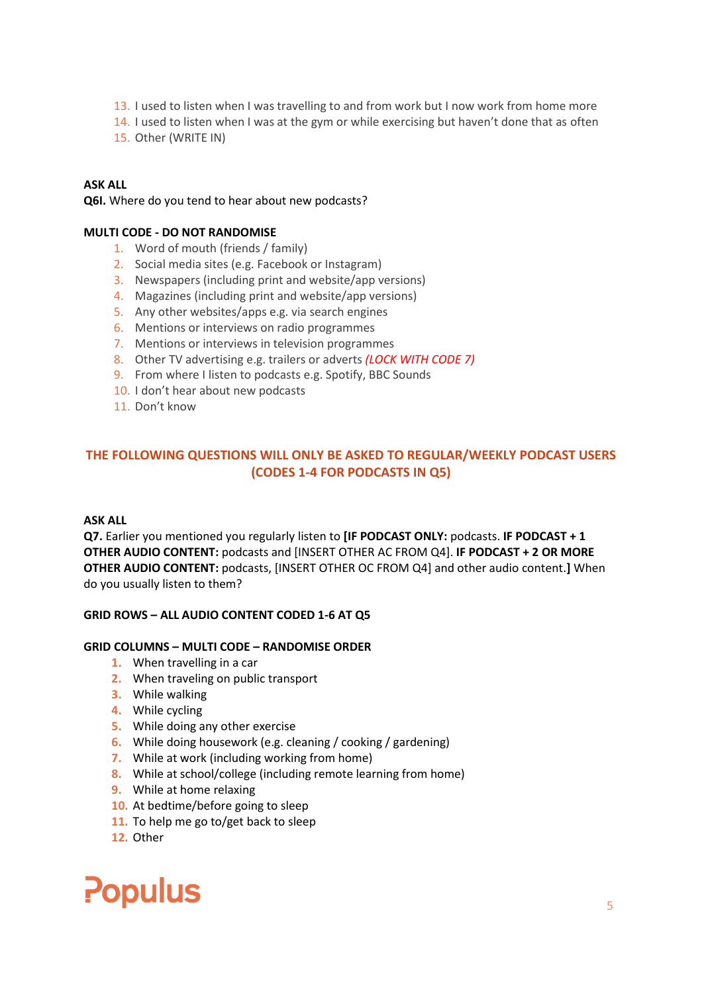- 13. I used to listen when I was travelling to and from work but I now work from home more
- 14. I used to listen when I was at the gym or while exercising but haven't done that as often
- 15. Other (WRITE IN)

**Q6I.** Where do you tend to hear about new podcasts?

## **MULTI CODE - DO NOT RANDOMISE**

- 1. Word of mouth (friends / family)
- 2. Social media sites (e.g. Facebook or Instagram)
- 3. Newspapers (including print and website/app versions)
- 4. Magazines (including print and website/app versions)
- 5. Any other websites/apps e.g. via search engines
- 6. Mentions or interviews on radio programmes
- 7. Mentions or interviews in television programmes
- 8. Other TV advertising e.g. trailers or adverts *(LOCK WITH CODE 7)*
- 9. From where I listen to podcasts e.g. Spotify, BBC Sounds
- 10. I don't hear about new podcasts
- 11. Don't know

## **THE FOLLOWING QUESTIONS WILL ONLY BE ASKED TO REGULAR/WEEKLY PODCAST USERS (CODES 1-4 FOR PODCASTS IN Q5)**

## **ASK ALL**

**Q7.** Earlier you mentioned you regularly listen to **[IF PODCAST ONLY:** podcasts. **IF PODCAST + 1 OTHER AUDIO CONTENT:** podcasts and [INSERT OTHER AC FROM Q4]. **IF PODCAST + 2 OR MORE OTHER AUDIO CONTENT:** podcasts, [INSERT OTHER OC FROM Q4] and other audio content.**]** When do you usually listen to them?

## **GRID ROWS – ALL AUDIO CONTENT CODED 1-6 AT Q5**

## **GRID COLUMNS – MULTI CODE – RANDOMISE ORDER**

- **1.** When travelling in a car
- **2.** When traveling on public transport
- **3.** While walking
- **4.** While cycling
- **5.** While doing any other exercise
- **6.** While doing housework (e.g. cleaning / cooking / gardening)
- **7.** While at work (including working from home)
- **8.** While at school/college (including remote learning from home)
- **9.** While at home relaxing
- **10.** At bedtime/before going to sleep
- **11.** To help me go to/get back to sleep
- **12.** Other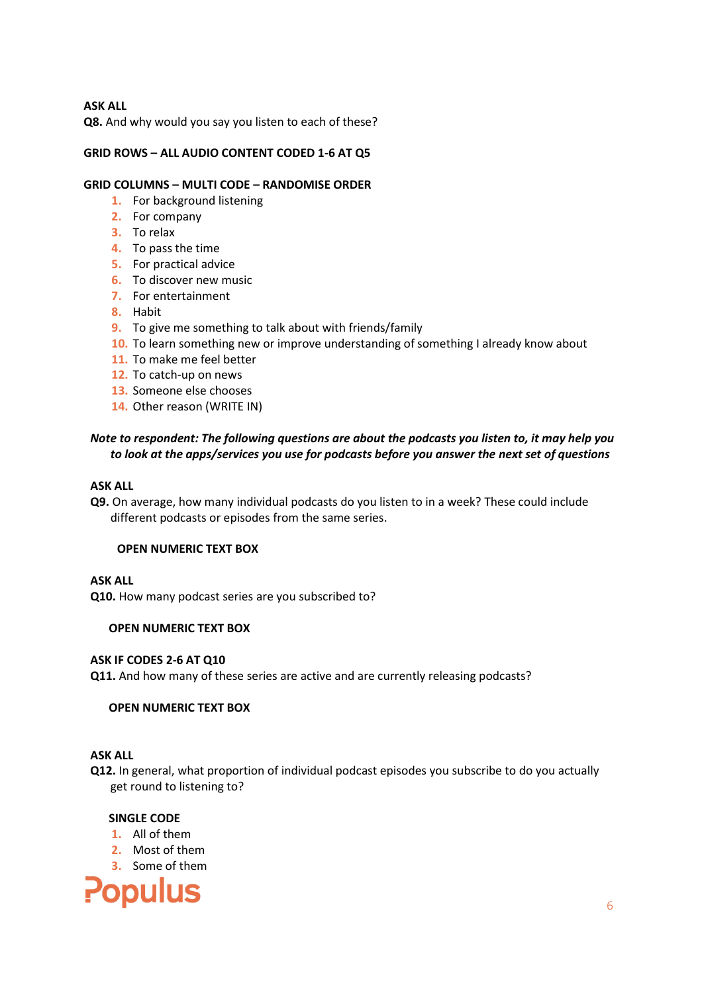**Q8.** And why would you say you listen to each of these?

## **GRID ROWS – ALL AUDIO CONTENT CODED 1-6 AT Q5**

## **GRID COLUMNS – MULTI CODE – RANDOMISE ORDER**

- **1.** For background listening
- **2.** For company
- **3.** To relax
- **4.** To pass the time
- **5.** For practical advice
- **6.** To discover new music
- **7.** For entertainment
- **8.** Habit
- **9.** To give me something to talk about with friends/family
- **10.** To learn something new or improve understanding of something I already know about
- **11.** To make me feel better
- **12.** To catch-up on news
- **13.** Someone else chooses
- **14.** Other reason (WRITE IN)

## *Note to respondent: The following questions are about the podcasts you listen to, it may help you to look at the apps/services you use for podcasts before you answer the next set of questions*

### **ASK ALL**

**Q9.** On average, how many individual podcasts do you listen to in a week? These could include different podcasts or episodes from the same series.

## **OPEN NUMERIC TEXT BOX**

## **ASK ALL**

**Q10.** How many podcast series are you subscribed to?

## **OPEN NUMERIC TEXT BOX**

## **ASK IF CODES 2-6 AT Q10**

**Q11.** And how many of these series are active and are currently releasing podcasts?

## **OPEN NUMERIC TEXT BOX**

## **ASK ALL**

**Q12.** In general, what proportion of individual podcast episodes you subscribe to do you actually get round to listening to?

## **SINGLE CODE**

- **1.** All of them
- **2.** Most of them
- **3.** Some of them

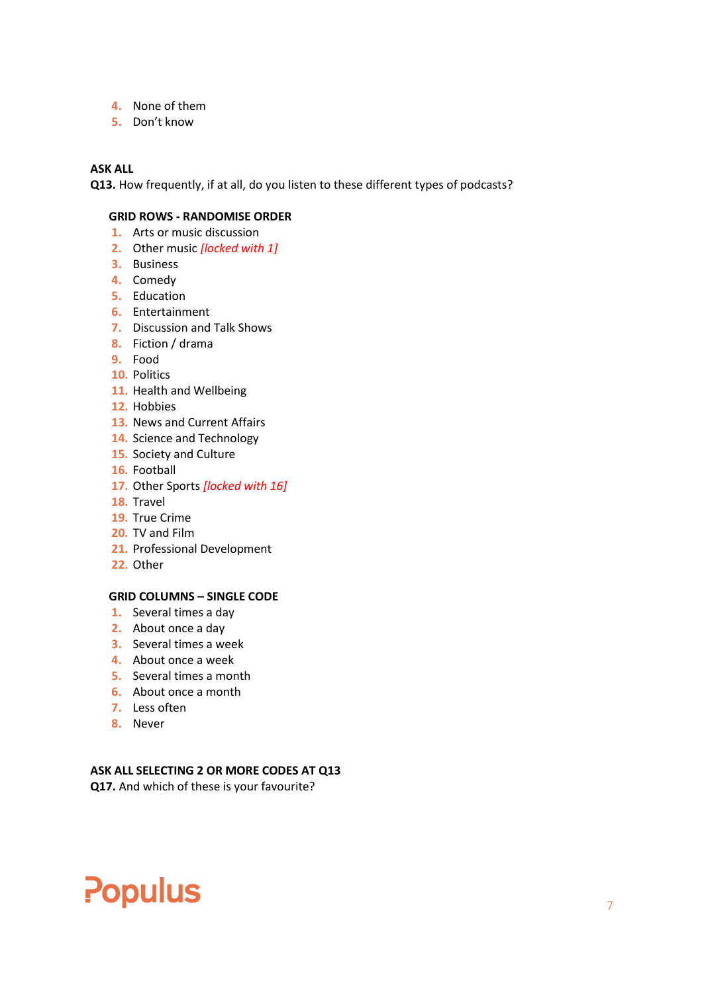- **4.** None of them
- **5.** Don't know

**Q13.** How frequently, if at all, do you listen to these different types of podcasts?

## **GRID ROWS - RANDOMISE ORDER**

- **1.** Arts or music discussion
- **2.** Other music *[locked with 1]*
- **3.** Business
- **4.** Comedy
- **5.** Education
- **6.** Entertainment
- **7.** Discussion and Talk Shows
- **8.** Fiction / drama
- **9.** Food
- **10.** Politics
- **11.** Health and Wellbeing
- **12.** Hobbies
- **13.** News and Current Affairs
- **14.** Science and Technology
- **15.** Society and Culture
- **16.** Football
- **17.** Other Sports *[locked with 16]*
- **18.** Travel
- **19.** True Crime
- **20.** TV and Film
- **21.** Professional Development
- **22.** Other

## **GRID COLUMNS – SINGLE CODE**

- **1.** Several times a day
- **2.** About once a day
- **3.** Several times a week
- **4.** About once a week
- **5.** Several times a month
- **6.** About once a month
- **7.** Less often
- **8.** Never

## **ASK ALL SELECTING 2 OR MORE CODES AT Q13**

**Q17.** And which of these is your favourite?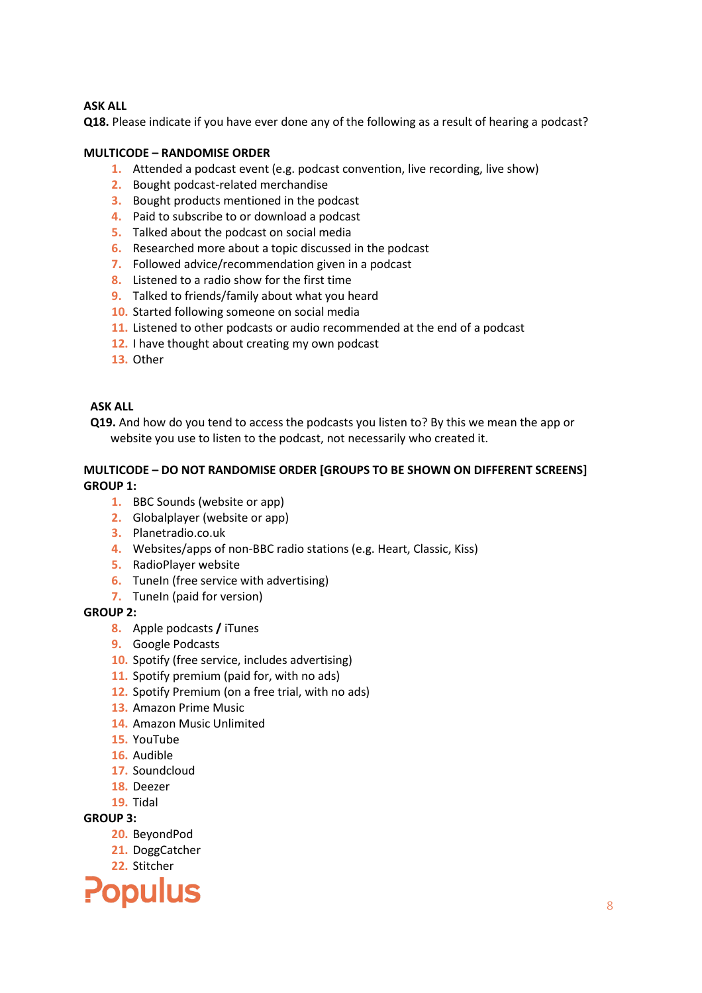**Q18.** Please indicate if you have ever done any of the following as a result of hearing a podcast?

## **MULTICODE – RANDOMISE ORDER**

- **1.** Attended a podcast event (e.g. podcast convention, live recording, live show)
- **2.** Bought podcast-related merchandise
- **3.** Bought products mentioned in the podcast
- **4.** Paid to subscribe to or download a podcast
- **5.** Talked about the podcast on social media
- **6.** Researched more about a topic discussed in the podcast
- **7.** Followed advice/recommendation given in a podcast
- **8.** Listened to a radio show for the first time
- **9.** Talked to friends/family about what you heard
- **10.** Started following someone on social media
- **11.** Listened to other podcasts or audio recommended at the end of a podcast
- **12.** I have thought about creating my own podcast
- **13.** Other

## **ASK ALL**

**Q19.** And how do you tend to access the podcasts you listen to? By this we mean the app or website you use to listen to the podcast, not necessarily who created it.

## **MULTICODE – DO NOT RANDOMISE ORDER [GROUPS TO BE SHOWN ON DIFFERENT SCREENS] GROUP 1:**

- **1.** BBC Sounds (website or app)
- **2.** Globalplayer (website or app)
- **3.** Planetradio.co.uk
- **4.** Websites/apps of non-BBC radio stations (e.g. Heart, Classic, Kiss)
- **5.** RadioPlayer website
- **6.** TuneIn (free service with advertising)
- **7.** TuneIn (paid for version)

## **GROUP 2:**

- **8.** Apple podcasts **/** iTunes
- **9.** Google Podcasts
- **10.** Spotify (free service, includes advertising)
- **11.** Spotify premium (paid for, with no ads)
- **12.** Spotify Premium (on a free trial, with no ads)
- **13.** Amazon Prime Music
- **14.** Amazon Music Unlimited
- **15.** YouTube
- **16.** Audible
- **17.** Soundcloud
- **18.** Deezer
- **19.** Tidal

## **GROUP 3:**

- **20.** BeyondPod
- **21.** DoggCatcher
- **22.** Stitcher

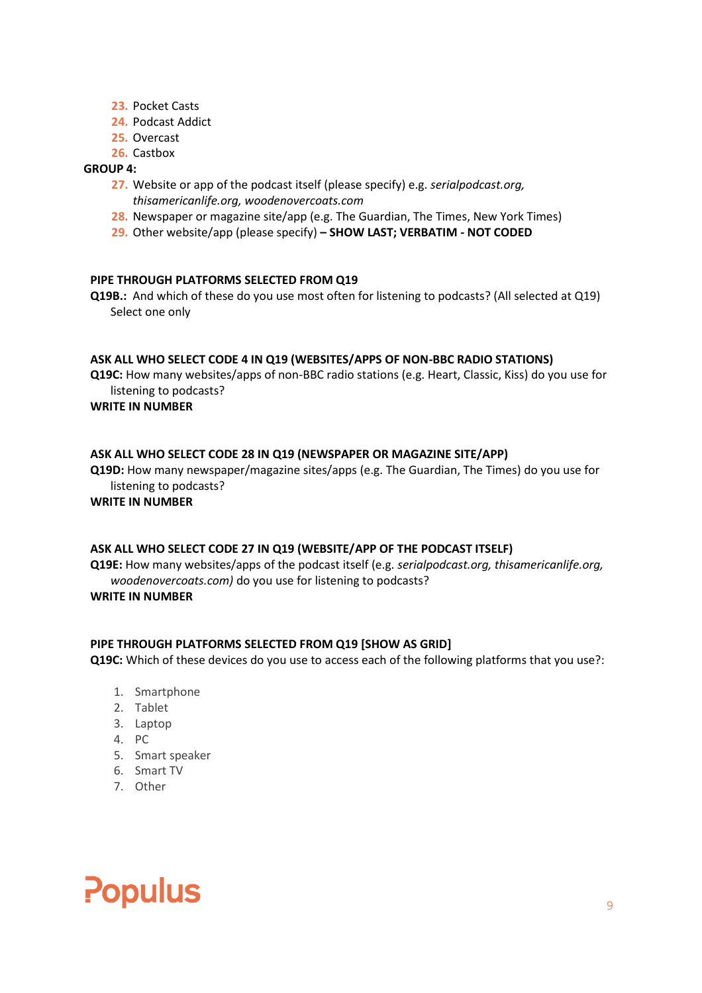- **23.** Pocket Casts
- **24.** Podcast Addict
- **25.** Overcast
- **26.** Castbox

## **GROUP 4:**

- **27.** Website or app of the podcast itself (please specify) e.g. *serialpodcast.org, thisamericanlife.org, woodenovercoats.com*
- **28.** Newspaper or magazine site/app (e.g. The Guardian, The Times, New York Times)
- **29.** Other website/app (please specify) **– SHOW LAST; VERBATIM - NOT CODED**

## **PIPE THROUGH PLATFORMS SELECTED FROM Q19**

**Q19B.:** And which of these do you use most often for listening to podcasts? (All selected at Q19) Select one only

## **ASK ALL WHO SELECT CODE 4 IN Q19 (WEBSITES/APPS OF NON-BBC RADIO STATIONS)**

**Q19C:** How many websites/apps of non-BBC radio stations (e.g. Heart, Classic, Kiss) do you use for listening to podcasts?

## **WRITE IN NUMBER**

## **ASK ALL WHO SELECT CODE 28 IN Q19 (NEWSPAPER OR MAGAZINE SITE/APP)**

**Q19D:** How many newspaper/magazine sites/apps (e.g. The Guardian, The Times) do you use for listening to podcasts?

## **WRITE IN NUMBER**

## **ASK ALL WHO SELECT CODE 27 IN Q19 (WEBSITE/APP OF THE PODCAST ITSELF)**

**Q19E:** How many websites/apps of the podcast itself (e.g. *serialpodcast.org, thisamericanlife.org, woodenovercoats.com)* do you use for listening to podcasts?

## **WRITE IN NUMBER**

## **PIPE THROUGH PLATFORMS SELECTED FROM Q19 [SHOW AS GRID]**

**Q19C:** Which of these devices do you use to access each of the following platforms that you use?:

- 1. Smartphone
- 2. Tablet
- 3. Laptop
- 4. PC
- 5. Smart speaker
- 6. Smart TV
- 7. Other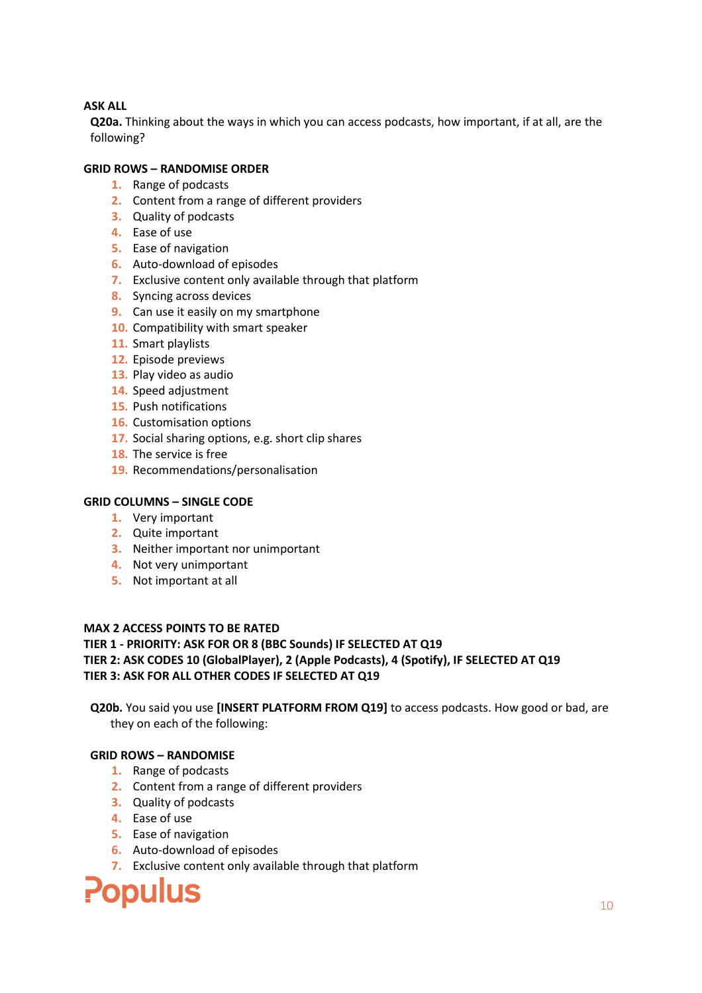**Q20a.** Thinking about the ways in which you can access podcasts, how important, if at all, are the following?

## **GRID ROWS – RANDOMISE ORDER**

- **1.** Range of podcasts
- **2.** Content from a range of different providers
- **3.** Quality of podcasts
- **4.** Ease of use
- **5.** Ease of navigation
- **6.** Auto-download of episodes
- **7.** Exclusive content only available through that platform
- **8.** Syncing across devices
- **9.** Can use it easily on my smartphone
- **10.** Compatibility with smart speaker
- **11.** Smart playlists
- **12.** Episode previews
- **13.** Play video as audio
- **14.** Speed adjustment
- **15.** Push notifications
- **16.** Customisation options
- **17.** Social sharing options, e.g. short clip shares
- **18.** The service is free
- **19.** Recommendations/personalisation

## **GRID COLUMNS – SINGLE CODE**

- **1.** Very important
- **2.** Quite important
- **3.** Neither important nor unimportant
- **4.** Not very unimportant
- **5.** Not important at all

## **MAX 2 ACCESS POINTS TO BE RATED**

## **TIER 1 - PRIORITY: ASK FOR OR 8 (BBC Sounds) IF SELECTED AT Q19**

## **TIER 2: ASK CODES 10 (GlobalPlayer), 2 (Apple Podcasts), 4 (Spotify), IF SELECTED AT Q19 TIER 3: ASK FOR ALL OTHER CODES IF SELECTED AT Q19**

**Q20b.** You said you use **[INSERT PLATFORM FROM Q19]** to access podcasts. How good or bad, are they on each of the following:

## **GRID ROWS – RANDOMISE**

- **1.** Range of podcasts
- **2.** Content from a range of different providers
- **3.** Quality of podcasts
- **4.** Ease of use
- **5.** Ease of navigation
- **6.** Auto-download of episodes
- **7.** Exclusive content only available through that platform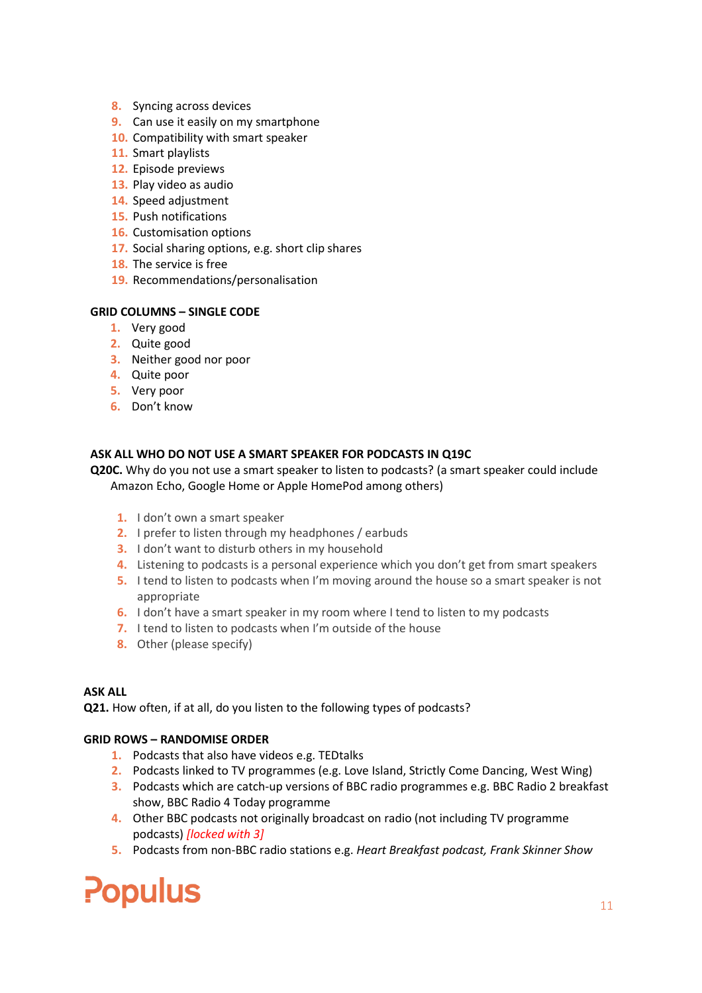- **8.** Syncing across devices
- **9.** Can use it easily on my smartphone
- **10.** Compatibility with smart speaker
- **11.** Smart playlists
- **12.** Episode previews
- **13.** Play video as audio
- **14.** Speed adjustment
- **15.** Push notifications
- **16.** Customisation options
- **17.** Social sharing options, e.g. short clip shares
- **18.** The service is free
- **19.** Recommendations/personalisation

## **GRID COLUMNS – SINGLE CODE**

- **1.** Very good
- **2.** Quite good
- **3.** Neither good nor poor
- **4.** Quite poor
- **5.** Very poor
- **6.** Don't know

## **ASK ALL WHO DO NOT USE A SMART SPEAKER FOR PODCASTS IN Q19C**

**Q20C.** Why do you not use a smart speaker to listen to podcasts? (a smart speaker could include Amazon Echo, Google Home or Apple HomePod among others)

- **1.** I don't own a smart speaker
- **2.** I prefer to listen through my headphones / earbuds
- **3.** I don't want to disturb others in my household
- **4.** Listening to podcasts is a personal experience which you don't get from smart speakers
- **5.** I tend to listen to podcasts when I'm moving around the house so a smart speaker is not appropriate
- **6.** I don't have a smart speaker in my room where I tend to listen to my podcasts
- **7.** I tend to listen to podcasts when I'm outside of the house
- **8.** Other (please specify)

## **ASK ALL**

**Q21.** How often, if at all, do you listen to the following types of podcasts?

## **GRID ROWS – RANDOMISE ORDER**

- **1.** Podcasts that also have videos e.g. TEDtalks
- **2.** Podcasts linked to TV programmes (e.g. Love Island, Strictly Come Dancing, West Wing)
- **3.** Podcasts which are catch-up versions of BBC radio programmes e.g. BBC Radio 2 breakfast show, BBC Radio 4 Today programme
- **4.** Other BBC podcasts not originally broadcast on radio (not including TV programme podcasts) *[locked with 3]*
- **5.** Podcasts from non-BBC radio stations e.g. *Heart Breakfast podcast, Frank Skinner Show*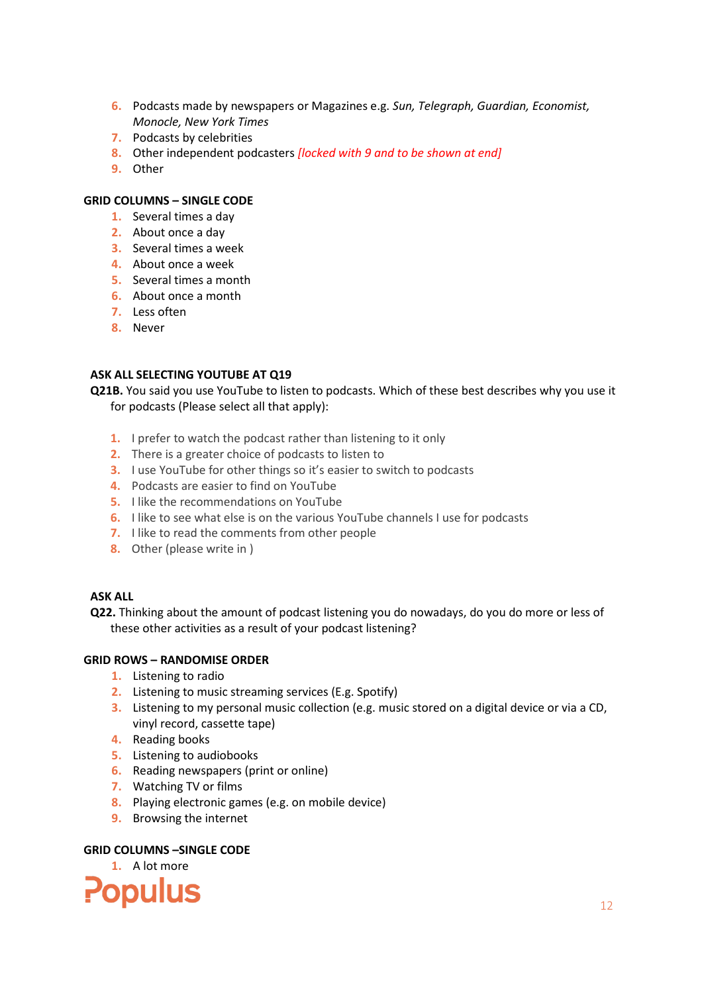- **6.** Podcasts made by newspapers or Magazines e.g. *Sun, Telegraph, Guardian, Economist, Monocle, New York Times*
- **7.** Podcasts by celebrities
- **8.** Other independent podcasters *[locked with 9 and to be shown at end]*
- **9.** Other

## **GRID COLUMNS – SINGLE CODE**

- **1.** Several times a day
- **2.** About once a day
- **3.** Several times a week
- **4.** About once a week
- **5.** Several times a month
- **6.** About once a month
- **7.** Less often
- **8.** Never

## **ASK ALL SELECTING YOUTUBE AT Q19**

**Q21B.** You said you use YouTube to listen to podcasts. Which of these best describes why you use it for podcasts (Please select all that apply):

- **1.** I prefer to watch the podcast rather than listening to it only
- **2.** There is a greater choice of podcasts to listen to
- **3.** I use YouTube for other things so it's easier to switch to podcasts
- **4.** Podcasts are easier to find on YouTube
- **5.** I like the recommendations on YouTube
- **6.** I like to see what else is on the various YouTube channels I use for podcasts
- **7.** I like to read the comments from other people
- **8.** Other (please write in )

## **ASK ALL**

**Q22.** Thinking about the amount of podcast listening you do nowadays, do you do more or less of these other activities as a result of your podcast listening?

## **GRID ROWS – RANDOMISE ORDER**

- **1.** Listening to radio
- **2.** Listening to music streaming services (E.g. Spotify)
- **3.** Listening to my personal music collection (e.g. music stored on a digital device or via a CD, vinyl record, cassette tape)
- **4.** Reading books
- **5.** Listening to audiobooks
- **6.** Reading newspapers (print or online)
- **7.** Watching TV or films
- **8.** Playing electronic games (e.g. on mobile device)
- **9.** Browsing the internet

## **GRID COLUMNS –SINGLE CODE**